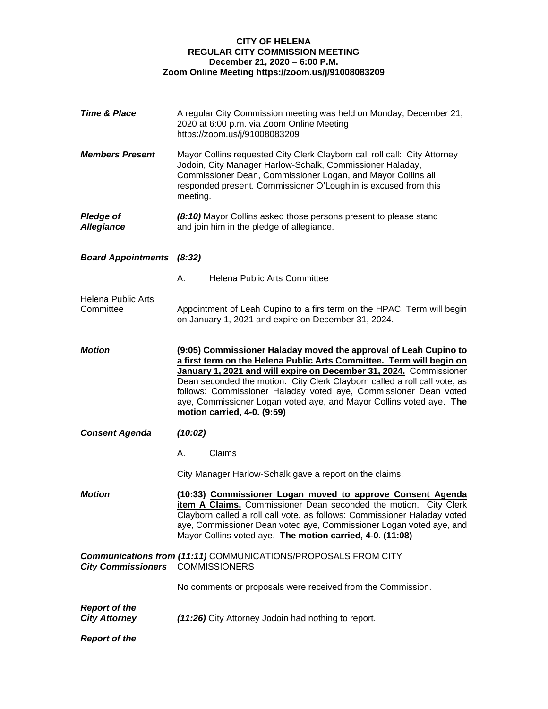## **CITY OF HELENA REGULAR CITY COMMISSION MEETING December 21, 2020 – 6:00 P.M. Zoom Online Meeting https://zoom.us/j/91008083209**

| Time & Place                                 | A regular City Commission meeting was held on Monday, December 21,<br>2020 at 6:00 p.m. via Zoom Online Meeting<br>https://zoom.us/j/91008083209                                                                                                                                                                                                                                                                                                                      |
|----------------------------------------------|-----------------------------------------------------------------------------------------------------------------------------------------------------------------------------------------------------------------------------------------------------------------------------------------------------------------------------------------------------------------------------------------------------------------------------------------------------------------------|
| <b>Members Present</b>                       | Mayor Collins requested City Clerk Clayborn call roll call: City Attorney<br>Jodoin, City Manager Harlow-Schalk, Commissioner Haladay,<br>Commissioner Dean, Commissioner Logan, and Mayor Collins all<br>responded present. Commissioner O'Loughlin is excused from this<br>meeting.                                                                                                                                                                                 |
| <b>Pledge of</b><br><b>Allegiance</b>        | (8:10) Mayor Collins asked those persons present to please stand<br>and join him in the pledge of allegiance.                                                                                                                                                                                                                                                                                                                                                         |
| <b>Board Appointments (8:32)</b>             |                                                                                                                                                                                                                                                                                                                                                                                                                                                                       |
|                                              | <b>Helena Public Arts Committee</b><br>А.                                                                                                                                                                                                                                                                                                                                                                                                                             |
| <b>Helena Public Arts</b><br>Committee       | Appointment of Leah Cupino to a firs term on the HPAC. Term will begin<br>on January 1, 2021 and expire on December 31, 2024.                                                                                                                                                                                                                                                                                                                                         |
| <b>Motion</b>                                | (9:05) Commissioner Haladay moved the approval of Leah Cupino to<br>a first term on the Helena Public Arts Committee. Term will begin on<br>January 1, 2021 and will expire on December 31, 2024. Commissioner<br>Dean seconded the motion. City Clerk Clayborn called a roll call vote, as<br>follows: Commissioner Haladay voted aye, Commissioner Dean voted<br>aye, Commissioner Logan voted aye, and Mayor Collins voted aye. The<br>motion carried, 4-0. (9:59) |
| <b>Consent Agenda</b>                        | (10:02)                                                                                                                                                                                                                                                                                                                                                                                                                                                               |
|                                              | Claims<br>А.                                                                                                                                                                                                                                                                                                                                                                                                                                                          |
|                                              | City Manager Harlow-Schalk gave a report on the claims.                                                                                                                                                                                                                                                                                                                                                                                                               |
| <b>Motion</b>                                | (10:33) Commissioner Logan moved to approve Consent Agenda<br>item A Claims. Commissioner Dean seconded the motion. City Clerk<br>Clayborn called a roll call vote, as follows: Commissioner Haladay voted<br>aye, Commissioner Dean voted aye, Commissioner Logan voted aye, and<br>Mayor Collins voted aye. The motion carried, 4-0. (11:08)                                                                                                                        |
| City Commissioners COMMISSIONERS             | <b>Communications from (11:11) COMMUNICATIONS/PROPOSALS FROM CITY</b>                                                                                                                                                                                                                                                                                                                                                                                                 |
|                                              | No comments or proposals were received from the Commission.                                                                                                                                                                                                                                                                                                                                                                                                           |
| <b>Report of the</b><br><b>City Attorney</b> | (11:26) City Attorney Jodoin had nothing to report.                                                                                                                                                                                                                                                                                                                                                                                                                   |
| <b>Report of the</b>                         |                                                                                                                                                                                                                                                                                                                                                                                                                                                                       |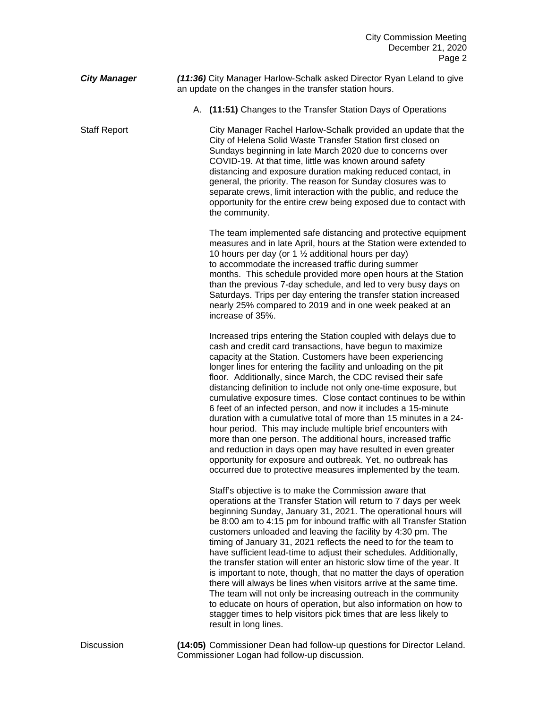*City Manager (11:36)* City Manager Harlow-Schalk asked Director Ryan Leland to give an update on the changes in the transfer station hours.

A. **(11:51)** Changes to the Transfer Station Days of Operations

Staff Report City Manager Rachel Harlow-Schalk provided an update that the City of Helena Solid Waste Transfer Station first closed on Sundays beginning in late March 2020 due to concerns over COVID-19. At that time, little was known around safety distancing and exposure duration making reduced contact, in general, the priority. The reason for Sunday closures was to separate crews, limit interaction with the public, and reduce the opportunity for the entire crew being exposed due to contact with the community.

> The team implemented safe distancing and protective equipment measures and in late April, hours at the Station were extended to 10 hours per day (or 1  $\frac{1}{2}$  additional hours per day) to accommodate the increased traffic during summer months. This schedule provided more open hours at the Station than the previous 7-day schedule, and led to very busy days on Saturdays. Trips per day entering the transfer station increased nearly 25% compared to 2019 and in one week peaked at an increase of 35%.

> Increased trips entering the Station coupled with delays due to cash and credit card transactions, have begun to maximize capacity at the Station. Customers have been experiencing longer lines for entering the facility and unloading on the pit floor. Additionally, since March, the CDC revised their safe distancing definition to include not only one-time exposure, but cumulative exposure times. Close contact continues to be within 6 feet of an infected person, and now it includes a 15-minute duration with a cumulative total of more than 15 minutes in a 24 hour period. This may include multiple brief encounters with more than one person. The additional hours, increased traffic and reduction in days open may have resulted in even greater opportunity for exposure and outbreak. Yet, no outbreak has occurred due to protective measures implemented by the team.

> Staff's objective is to make the Commission aware that operations at the Transfer Station will return to 7 days per week beginning Sunday, January 31, 2021. The operational hours will be 8:00 am to 4:15 pm for inbound traffic with all Transfer Station customers unloaded and leaving the facility by 4:30 pm. The timing of January 31, 2021 reflects the need to for the team to have sufficient lead-time to adjust their schedules. Additionally, the transfer station will enter an historic slow time of the year. It is important to note, though, that no matter the days of operation there will always be lines when visitors arrive at the same time. The team will not only be increasing outreach in the community to educate on hours of operation, but also information on how to stagger times to help visitors pick times that are less likely to result in long lines.

Discussion **(14:05)** Commissioner Dean had follow-up questions for Director Leland. Commissioner Logan had follow-up discussion.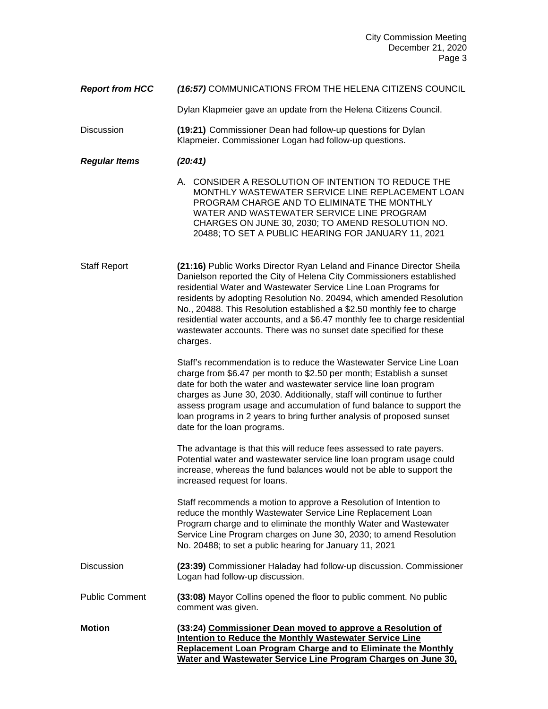| <b>Report from HCC</b> | (16:57) COMMUNICATIONS FROM THE HELENA CITIZENS COUNCIL |
|------------------------|---------------------------------------------------------|
|------------------------|---------------------------------------------------------|

Dylan Klapmeier gave an update from the Helena Citizens Council.

- Discussion **(19:21)** Commissioner Dean had follow-up questions for Dylan Klapmeier. Commissioner Logan had follow-up questions.
- *Regular Items (20:41)*

A. CONSIDER A RESOLUTION OF INTENTION TO REDUCE THE MONTHLY WASTEWATER SERVICE LINE REPLACEMENT LOAN PROGRAM CHARGE AND TO ELIMINATE THE MONTHLY WATER AND WASTEWATER SERVICE LINE PROGRAM CHARGES ON JUNE 30, 2030; TO AMEND RESOLUTION NO. 20488; TO SET A PUBLIC HEARING FOR JANUARY 11, 2021

Staff Report **(21:16)** Public Works Director Ryan Leland and Finance Director Sheila Danielson reported the City of Helena City Commissioners established residential Water and Wastewater Service Line Loan Programs for residents by adopting Resolution No. 20494, which amended Resolution No., 20488. This Resolution established a \$2.50 monthly fee to charge residential water accounts, and a \$6.47 monthly fee to charge residential wastewater accounts. There was no sunset date specified for these charges.

> Staff's recommendation is to reduce the Wastewater Service Line Loan charge from \$6.47 per month to \$2.50 per month; Establish a sunset date for both the water and wastewater service line loan program charges as June 30, 2030. Additionally, staff will continue to further assess program usage and accumulation of fund balance to support the loan programs in 2 years to bring further analysis of proposed sunset date for the loan programs.

The advantage is that this will reduce fees assessed to rate payers. Potential water and wastewater service line loan program usage could increase, whereas the fund balances would not be able to support the increased request for loans.

Staff recommends a motion to approve a Resolution of Intention to reduce the monthly Wastewater Service Line Replacement Loan Program charge and to eliminate the monthly Water and Wastewater Service Line Program charges on June 30, 2030; to amend Resolution No. 20488; to set a public hearing for January 11, 2021

- Discussion **(23:39)** Commissioner Haladay had follow-up discussion. Commissioner Logan had follow-up discussion.
- Public Comment **(33:08)** Mayor Collins opened the floor to public comment. No public comment was given.
- **Motion (33:24) Commissioner Dean moved to approve a Resolution of Intention to Reduce the Monthly Wastewater Service Line Replacement Loan Program Charge and to Eliminate the Monthly Water and Wastewater Service Line Program Charges on June 30,**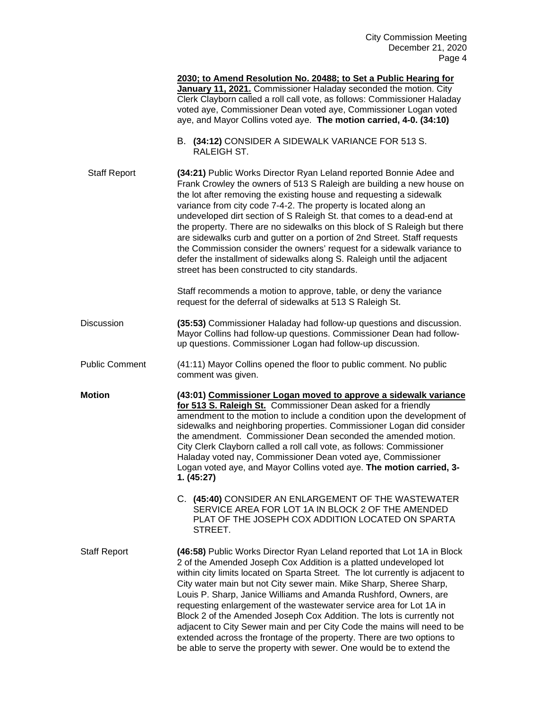|                       | 2030; to Amend Resolution No. 20488; to Set a Public Hearing for<br>January 11, 2021. Commissioner Haladay seconded the motion. City<br>Clerk Clayborn called a roll call vote, as follows: Commissioner Haladay<br>voted aye, Commissioner Dean voted aye, Commissioner Logan voted<br>aye, and Mayor Collins voted aye. The motion carried, 4-0. (34:10)                                                                                                                                                                                                                                                                                                                                                                                           |
|-----------------------|------------------------------------------------------------------------------------------------------------------------------------------------------------------------------------------------------------------------------------------------------------------------------------------------------------------------------------------------------------------------------------------------------------------------------------------------------------------------------------------------------------------------------------------------------------------------------------------------------------------------------------------------------------------------------------------------------------------------------------------------------|
|                       | B. (34:12) CONSIDER A SIDEWALK VARIANCE FOR 513 S.<br>RALEIGH ST.                                                                                                                                                                                                                                                                                                                                                                                                                                                                                                                                                                                                                                                                                    |
| <b>Staff Report</b>   | (34:21) Public Works Director Ryan Leland reported Bonnie Adee and<br>Frank Crowley the owners of 513 S Raleigh are building a new house on<br>the lot after removing the existing house and requesting a sidewalk<br>variance from city code 7-4-2. The property is located along an<br>undeveloped dirt section of S Raleigh St. that comes to a dead-end at<br>the property. There are no sidewalks on this block of S Raleigh but there<br>are sidewalks curb and gutter on a portion of 2nd Street. Staff requests<br>the Commission consider the owners' request for a sidewalk variance to<br>defer the installment of sidewalks along S. Raleigh until the adjacent<br>street has been constructed to city standards.                        |
|                       | Staff recommends a motion to approve, table, or deny the variance<br>request for the deferral of sidewalks at 513 S Raleigh St.                                                                                                                                                                                                                                                                                                                                                                                                                                                                                                                                                                                                                      |
| Discussion            | (35:53) Commissioner Haladay had follow-up questions and discussion.<br>Mayor Collins had follow-up questions. Commissioner Dean had follow-<br>up questions. Commissioner Logan had follow-up discussion.                                                                                                                                                                                                                                                                                                                                                                                                                                                                                                                                           |
| <b>Public Comment</b> | (41:11) Mayor Collins opened the floor to public comment. No public<br>comment was given.                                                                                                                                                                                                                                                                                                                                                                                                                                                                                                                                                                                                                                                            |
| Motion                | (43:01) Commissioner Logan moved to approve a sidewalk variance<br>for 513 S. Raleigh St. Commissioner Dean asked for a friendly<br>amendment to the motion to include a condition upon the development of<br>sidewalks and neighboring properties. Commissioner Logan did consider<br>the amendment. Commissioner Dean seconded the amended motion.<br>City Clerk Clayborn called a roll call vote, as follows: Commissioner<br>Haladay voted nay, Commissioner Dean voted aye, Commissioner<br>Logan voted aye, and Mayor Collins voted aye. The motion carried, 3-<br>1. (45:27)                                                                                                                                                                  |
|                       | C. (45:40) CONSIDER AN ENLARGEMENT OF THE WASTEWATER<br>SERVICE AREA FOR LOT 1A IN BLOCK 2 OF THE AMENDED<br>PLAT OF THE JOSEPH COX ADDITION LOCATED ON SPARTA<br>STREET.                                                                                                                                                                                                                                                                                                                                                                                                                                                                                                                                                                            |
| <b>Staff Report</b>   | (46:58) Public Works Director Ryan Leland reported that Lot 1A in Block<br>2 of the Amended Joseph Cox Addition is a platted undeveloped lot<br>within city limits located on Sparta Street. The lot currently is adjacent to<br>City water main but not City sewer main. Mike Sharp, Sheree Sharp,<br>Louis P. Sharp, Janice Williams and Amanda Rushford, Owners, are<br>requesting enlargement of the wastewater service area for Lot 1A in<br>Block 2 of the Amended Joseph Cox Addition. The lots is currently not<br>adjacent to City Sewer main and per City Code the mains will need to be<br>extended across the frontage of the property. There are two options to<br>be able to serve the property with sewer. One would be to extend the |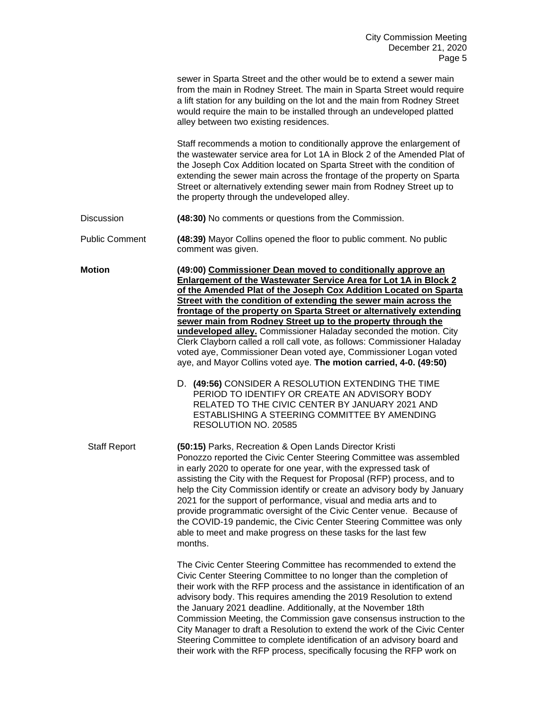|                       | sewer in Sparta Street and the other would be to extend a sewer main<br>from the main in Rodney Street. The main in Sparta Street would require<br>a lift station for any building on the lot and the main from Rodney Street<br>would require the main to be installed through an undeveloped platted<br>alley between two existing residences.                                                                                                                                                                                                                                                                                                                                                                                                                                                                                                                                                                                                      |
|-----------------------|-------------------------------------------------------------------------------------------------------------------------------------------------------------------------------------------------------------------------------------------------------------------------------------------------------------------------------------------------------------------------------------------------------------------------------------------------------------------------------------------------------------------------------------------------------------------------------------------------------------------------------------------------------------------------------------------------------------------------------------------------------------------------------------------------------------------------------------------------------------------------------------------------------------------------------------------------------|
|                       | Staff recommends a motion to conditionally approve the enlargement of<br>the wastewater service area for Lot 1A in Block 2 of the Amended Plat of<br>the Joseph Cox Addition located on Sparta Street with the condition of<br>extending the sewer main across the frontage of the property on Sparta<br>Street or alternatively extending sewer main from Rodney Street up to<br>the property through the undeveloped alley.                                                                                                                                                                                                                                                                                                                                                                                                                                                                                                                         |
| Discussion            | (48:30) No comments or questions from the Commission.                                                                                                                                                                                                                                                                                                                                                                                                                                                                                                                                                                                                                                                                                                                                                                                                                                                                                                 |
| <b>Public Comment</b> | (48:39) Mayor Collins opened the floor to public comment. No public<br>comment was given.                                                                                                                                                                                                                                                                                                                                                                                                                                                                                                                                                                                                                                                                                                                                                                                                                                                             |
| <b>Motion</b>         | (49:00) Commissioner Dean moved to conditionally approve an<br><b>Enlargement of the Wastewater Service Area for Lot 1A in Block 2</b><br>of the Amended Plat of the Joseph Cox Addition Located on Sparta<br>Street with the condition of extending the sewer main across the<br>frontage of the property on Sparta Street or alternatively extending<br>sewer main from Rodney Street up to the property through the<br>undeveloped alley. Commissioner Haladay seconded the motion. City<br>Clerk Clayborn called a roll call vote, as follows: Commissioner Haladay<br>voted aye, Commissioner Dean voted aye, Commissioner Logan voted<br>aye, and Mayor Collins voted aye. The motion carried, 4-0. (49:50)<br>D. (49:56) CONSIDER A RESOLUTION EXTENDING THE TIME<br>PERIOD TO IDENTIFY OR CREATE AN ADVISORY BODY<br>RELATED TO THE CIVIC CENTER BY JANUARY 2021 AND<br>ESTABLISHING A STEERING COMMITTEE BY AMENDING<br>RESOLUTION NO. 20585 |
| <b>Staff Report</b>   | (50:15) Parks, Recreation & Open Lands Director Kristi<br>Ponozzo reported the Civic Center Steering Committee was assembled<br>in early 2020 to operate for one year, with the expressed task of<br>assisting the City with the Request for Proposal (RFP) process, and to<br>help the City Commission identify or create an advisory body by January<br>2021 for the support of performance, visual and media arts and to<br>provide programmatic oversight of the Civic Center venue. Because of<br>the COVID-19 pandemic, the Civic Center Steering Committee was only<br>able to meet and make progress on these tasks for the last few<br>months.                                                                                                                                                                                                                                                                                               |
|                       | The Civic Center Steering Committee has recommended to extend the<br>Civic Center Steering Committee to no longer than the completion of<br>their work with the RFP process and the assistance in identification of an<br>advisory body. This requires amending the 2019 Resolution to extend<br>the January 2021 deadline. Additionally, at the November 18th<br>Commission Meeting, the Commission gave consensus instruction to the<br>City Manager to draft a Resolution to extend the work of the Civic Center<br>Steering Committee to complete identification of an advisory board and<br>their work with the RFP process, specifically focusing the RFP work on                                                                                                                                                                                                                                                                               |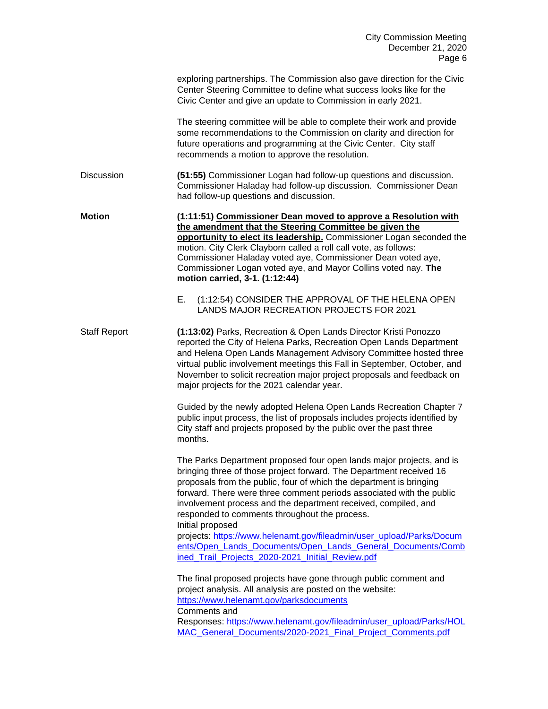|                     | exploring partnerships. The Commission also gave direction for the Civic<br>Center Steering Committee to define what success looks like for the<br>Civic Center and give an update to Commission in early 2021.                                                                                                                                                                                                                          |
|---------------------|------------------------------------------------------------------------------------------------------------------------------------------------------------------------------------------------------------------------------------------------------------------------------------------------------------------------------------------------------------------------------------------------------------------------------------------|
|                     | The steering committee will be able to complete their work and provide<br>some recommendations to the Commission on clarity and direction for<br>future operations and programming at the Civic Center. City staff<br>recommends a motion to approve the resolution.                                                                                                                                                                     |
| <b>Discussion</b>   | (51:55) Commissioner Logan had follow-up questions and discussion.<br>Commissioner Haladay had follow-up discussion. Commissioner Dean<br>had follow-up questions and discussion.                                                                                                                                                                                                                                                        |
| <b>Motion</b>       | (1:11:51) Commissioner Dean moved to approve a Resolution with<br>the amendment that the Steering Committee be given the<br>opportunity to elect its leadership. Commissioner Logan seconded the<br>motion. City Clerk Clayborn called a roll call vote, as follows:<br>Commissioner Haladay voted aye, Commissioner Dean voted aye,<br>Commissioner Logan voted aye, and Mayor Collins voted nay. The<br>motion carried, 3-1. (1:12:44) |
|                     | Е.<br>(1:12:54) CONSIDER THE APPROVAL OF THE HELENA OPEN<br>LANDS MAJOR RECREATION PROJECTS FOR 2021                                                                                                                                                                                                                                                                                                                                     |
| <b>Staff Report</b> | (1:13:02) Parks, Recreation & Open Lands Director Kristi Ponozzo<br>reported the City of Helena Parks, Recreation Open Lands Department<br>and Helena Open Lands Management Advisory Committee hosted three<br>virtual public involvement meetings this Fall in September, October, and<br>November to solicit recreation major project proposals and feedback on<br>major projects for the 2021 calendar year.                          |
|                     | Guided by the newly adopted Helena Open Lands Recreation Chapter 7<br>public input process, the list of proposals includes projects identified by<br>City staff and projects proposed by the public over the past three<br>months.                                                                                                                                                                                                       |
|                     | The Parks Department proposed four open lands major projects, and is<br>bringing three of those project forward. The Department received 16<br>proposals from the public, four of which the department is bringing<br>forward. There were three comment periods associated with the public<br>involvement process and the department received, compiled, and<br>responded to comments throughout the process.<br>Initial proposed        |
|                     | projects: https://www.helenamt.gov/fileadmin/user_upload/Parks/Docum<br>ents/Open_Lands_Documents/Open_Lands_General_Documents/Comb<br>ined_Trail_Projects_2020-2021_Initial_Review.pdf                                                                                                                                                                                                                                                  |
|                     | The final proposed projects have gone through public comment and<br>project analysis. All analysis are posted on the website:<br>https://www.helenamt.gov/parksdocuments<br>Comments and                                                                                                                                                                                                                                                 |
|                     | Responses: https://www.helenamt.gov/fileadmin/user_upload/Parks/HOL<br>MAC_General_Documents/2020-2021_Final_Project_Comments.pdf                                                                                                                                                                                                                                                                                                        |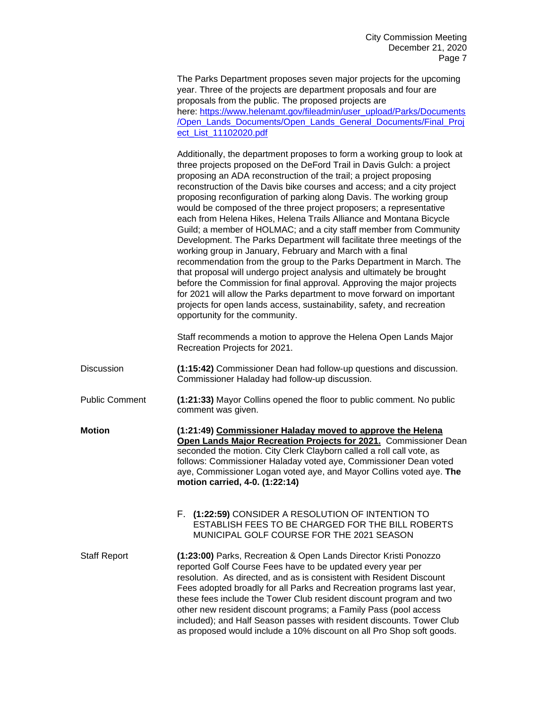The Parks Department proposes seven major projects for the upcoming year. Three of the projects are department proposals and four are proposals from the public. The proposed projects are here: [https://www.helenamt.gov/fileadmin/user\\_upload/Parks/Documents](https://www.helenamt.gov/fileadmin/user_upload/Parks/Documents/Open_Lands_Documents/Open_Lands_General_Documents/Final_Project_List_11102020.pdf) [/Open\\_Lands\\_Documents/Open\\_Lands\\_General\\_Documents/Final\\_Proj](https://www.helenamt.gov/fileadmin/user_upload/Parks/Documents/Open_Lands_Documents/Open_Lands_General_Documents/Final_Project_List_11102020.pdf) [ect\\_List\\_11102020.pdf](https://www.helenamt.gov/fileadmin/user_upload/Parks/Documents/Open_Lands_Documents/Open_Lands_General_Documents/Final_Project_List_11102020.pdf)

Additionally, the department proposes to form a working group to look at three projects proposed on the DeFord Trail in Davis Gulch: a project proposing an ADA reconstruction of the trail; a project proposing reconstruction of the Davis bike courses and access; and a city project proposing reconfiguration of parking along Davis. The working group would be composed of the three project proposers; a representative each from Helena Hikes, Helena Trails Alliance and Montana Bicycle Guild; a member of HOLMAC; and a city staff member from Community Development. The Parks Department will facilitate three meetings of the working group in January, February and March with a final recommendation from the group to the Parks Department in March. The that proposal will undergo project analysis and ultimately be brought before the Commission for final approval. Approving the major projects for 2021 will allow the Parks department to move forward on important projects for open lands access, sustainability, safety, and recreation opportunity for the community.

Staff recommends a motion to approve the Helena Open Lands Major Recreation Projects for 2021.

- Discussion **(1:15:42)** Commissioner Dean had follow-up questions and discussion. Commissioner Haladay had follow-up discussion.
- Public Comment **(1:21:33)** Mayor Collins opened the floor to public comment. No public comment was given.
- **Motion (1:21:49) Commissioner Haladay moved to approve the Helena Open Lands Major Recreation Projects for 2021.** Commissioner Dean seconded the motion. City Clerk Clayborn called a roll call vote, as follows: Commissioner Haladay voted aye, Commissioner Dean voted aye, Commissioner Logan voted aye, and Mayor Collins voted aye. **The motion carried, 4-0. (1:22:14)**
	- F. **(1:22:59)** CONSIDER A RESOLUTION OF INTENTION TO ESTABLISH FEES TO BE CHARGED FOR THE BILL ROBERTS MUNICIPAL GOLF COURSE FOR THE 2021 SEASON

Staff Report **(1:23:00)** Parks, Recreation & Open Lands Director Kristi Ponozzo reported Golf Course Fees have to be updated every year per resolution. As directed, and as is consistent with Resident Discount Fees adopted broadly for all Parks and Recreation programs last year, these fees include the Tower Club resident discount program and two other new resident discount programs; a Family Pass (pool access included); and Half Season passes with resident discounts. Tower Club as proposed would include a 10% discount on all Pro Shop soft goods.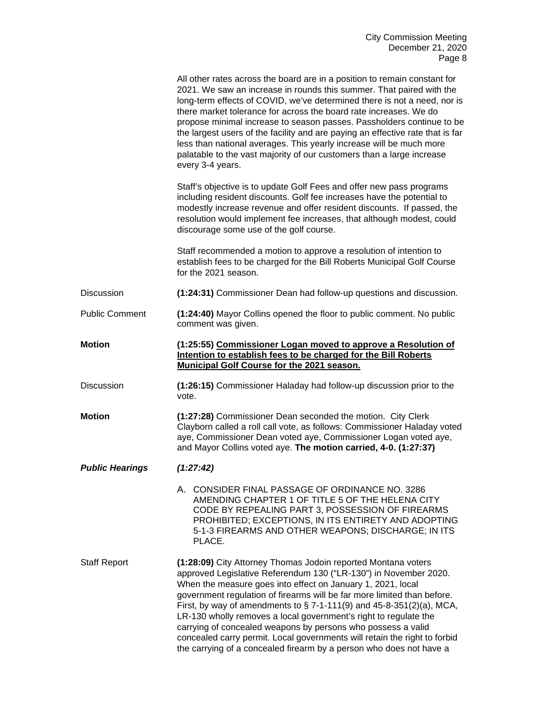|                        | All other rates across the board are in a position to remain constant for<br>2021. We saw an increase in rounds this summer. That paired with the<br>long-term effects of COVID, we've determined there is not a need, nor is<br>there market tolerance for across the board rate increases. We do<br>propose minimal increase to season passes. Passholders continue to be<br>the largest users of the facility and are paying an effective rate that is far<br>less than national averages. This yearly increase will be much more<br>palatable to the vast majority of our customers than a large increase<br>every 3-4 years. |
|------------------------|-----------------------------------------------------------------------------------------------------------------------------------------------------------------------------------------------------------------------------------------------------------------------------------------------------------------------------------------------------------------------------------------------------------------------------------------------------------------------------------------------------------------------------------------------------------------------------------------------------------------------------------|
|                        | Staff's objective is to update Golf Fees and offer new pass programs<br>including resident discounts. Golf fee increases have the potential to<br>modestly increase revenue and offer resident discounts. If passed, the<br>resolution would implement fee increases, that although modest, could<br>discourage some use of the golf course.                                                                                                                                                                                                                                                                                      |
|                        | Staff recommended a motion to approve a resolution of intention to<br>establish fees to be charged for the Bill Roberts Municipal Golf Course<br>for the 2021 season.                                                                                                                                                                                                                                                                                                                                                                                                                                                             |
| <b>Discussion</b>      | (1:24:31) Commissioner Dean had follow-up questions and discussion.                                                                                                                                                                                                                                                                                                                                                                                                                                                                                                                                                               |
| <b>Public Comment</b>  | (1:24:40) Mayor Collins opened the floor to public comment. No public<br>comment was given.                                                                                                                                                                                                                                                                                                                                                                                                                                                                                                                                       |
| <b>Motion</b>          | (1:25:55) Commissioner Logan moved to approve a Resolution of<br>Intention to establish fees to be charged for the Bill Roberts<br>Municipal Golf Course for the 2021 season.                                                                                                                                                                                                                                                                                                                                                                                                                                                     |
| Discussion             | (1:26:15) Commissioner Haladay had follow-up discussion prior to the<br>vote.                                                                                                                                                                                                                                                                                                                                                                                                                                                                                                                                                     |
| <b>Motion</b>          | (1:27:28) Commissioner Dean seconded the motion. City Clerk<br>Clayborn called a roll call vote, as follows: Commissioner Haladay voted<br>aye, Commissioner Dean voted aye, Commissioner Logan voted aye,<br>and Mayor Collins voted aye. The motion carried, 4-0. (1:27:37)                                                                                                                                                                                                                                                                                                                                                     |
| <b>Public Hearings</b> | (1:27:42)                                                                                                                                                                                                                                                                                                                                                                                                                                                                                                                                                                                                                         |
|                        |                                                                                                                                                                                                                                                                                                                                                                                                                                                                                                                                                                                                                                   |
|                        | A. CONSIDER FINAL PASSAGE OF ORDINANCE NO. 3286<br>AMENDING CHAPTER 1 OF TITLE 5 OF THE HELENA CITY<br>CODE BY REPEALING PART 3, POSSESSION OF FIREARMS<br>PROHIBITED; EXCEPTIONS, IN ITS ENTIRETY AND ADOPTING<br>5-1-3 FIREARMS AND OTHER WEAPONS; DISCHARGE; IN ITS<br>PLACE.                                                                                                                                                                                                                                                                                                                                                  |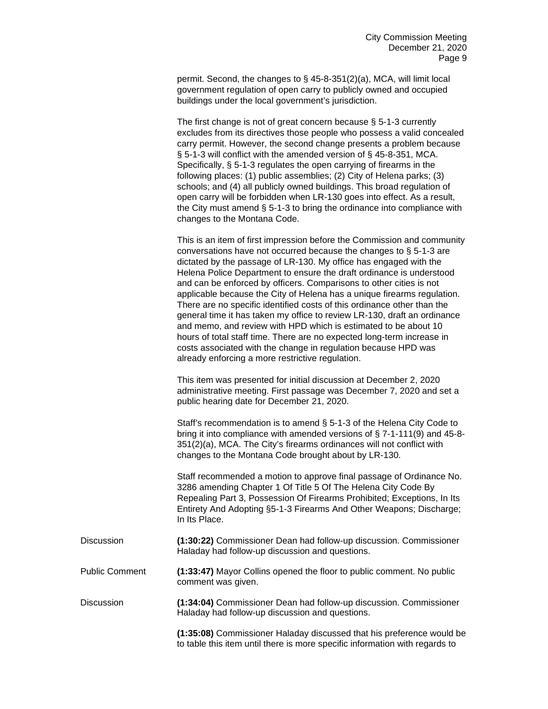permit. Second, the changes to § 45-8-351(2)(a), MCA, will limit local government regulation of open carry to publicly owned and occupied buildings under the local government's jurisdiction.

The first change is not of great concern because § 5-1-3 currently excludes from its directives those people who possess a valid concealed carry permit. However, the second change presents a problem because § 5-1-3 will conflict with the amended version of § 45-8-351, MCA. Specifically, § 5-1-3 regulates the open carrying of firearms in the following places: (1) public assemblies; (2) City of Helena parks; (3) schools; and (4) all publicly owned buildings. This broad regulation of open carry will be forbidden when LR-130 goes into effect. As a result, the City must amend § 5-1-3 to bring the ordinance into compliance with changes to the Montana Code.

This is an item of first impression before the Commission and community conversations have not occurred because the changes to § 5-1-3 are dictated by the passage of LR-130. My office has engaged with the Helena Police Department to ensure the draft ordinance is understood and can be enforced by officers. Comparisons to other cities is not applicable because the City of Helena has a unique firearms regulation. There are no specific identified costs of this ordinance other than the general time it has taken my office to review LR-130, draft an ordinance and memo, and review with HPD which is estimated to be about 10 hours of total staff time. There are no expected long-term increase in costs associated with the change in regulation because HPD was already enforcing a more restrictive regulation.

This item was presented for initial discussion at December 2, 2020 administrative meeting. First passage was December 7, 2020 and set a public hearing date for December 21, 2020.

Staff's recommendation is to amend § 5-1-3 of the Helena City Code to bring it into compliance with amended versions of § 7-1-111(9) and 45-8- 351(2)(a), MCA. The City's firearms ordinances will not conflict with changes to the Montana Code brought about by LR-130.

Staff recommended a motion to approve final passage of Ordinance No. 3286 amending Chapter 1 Of Title 5 Of The Helena City Code By Repealing Part 3, Possession Of Firearms Prohibited; Exceptions, In Its Entirety And Adopting §5-1-3 Firearms And Other Weapons; Discharge; In Its Place.

| <b>Discussion</b> | (1:30:22) Commissioner Dean had follow-up discussion. Commissioner |
|-------------------|--------------------------------------------------------------------|
|                   | Haladay had follow-up discussion and questions.                    |

Public Comment **(1:33:47)** Mayor Collins opened the floor to public comment. No public comment was given.

Discussion **(1:34:04)** Commissioner Dean had follow-up discussion. Commissioner Haladay had follow-up discussion and questions.

> **(1:35:08)** Commissioner Haladay discussed that his preference would be to table this item until there is more specific information with regards to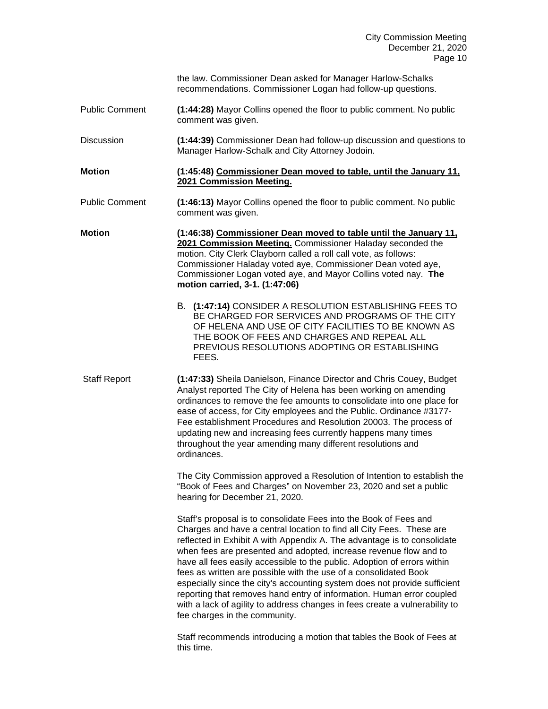|                       | the law. Commissioner Dean asked for Manager Harlow-Schalks<br>recommendations. Commissioner Logan had follow-up questions.                                                                                                                                                                                                                                                                                                                                                                                                                                                                                                                                                                                     |
|-----------------------|-----------------------------------------------------------------------------------------------------------------------------------------------------------------------------------------------------------------------------------------------------------------------------------------------------------------------------------------------------------------------------------------------------------------------------------------------------------------------------------------------------------------------------------------------------------------------------------------------------------------------------------------------------------------------------------------------------------------|
| <b>Public Comment</b> | (1:44:28) Mayor Collins opened the floor to public comment. No public<br>comment was given.                                                                                                                                                                                                                                                                                                                                                                                                                                                                                                                                                                                                                     |
| <b>Discussion</b>     | (1:44:39) Commissioner Dean had follow-up discussion and questions to<br>Manager Harlow-Schalk and City Attorney Jodoin.                                                                                                                                                                                                                                                                                                                                                                                                                                                                                                                                                                                        |
| <b>Motion</b>         | (1:45:48) Commissioner Dean moved to table, until the January 11,<br>2021 Commission Meeting.                                                                                                                                                                                                                                                                                                                                                                                                                                                                                                                                                                                                                   |
| <b>Public Comment</b> | (1:46:13) Mayor Collins opened the floor to public comment. No public<br>comment was given.                                                                                                                                                                                                                                                                                                                                                                                                                                                                                                                                                                                                                     |
| <b>Motion</b>         | (1:46:38) Commissioner Dean moved to table until the January 11.<br>2021 Commission Meeting. Commissioner Haladay seconded the<br>motion. City Clerk Clayborn called a roll call vote, as follows:<br>Commissioner Haladay voted aye, Commissioner Dean voted aye,<br>Commissioner Logan voted aye, and Mayor Collins voted nay. The<br>motion carried, 3-1. (1:47:06)<br>B. (1:47:14) CONSIDER A RESOLUTION ESTABLISHING FEES TO<br>BE CHARGED FOR SERVICES AND PROGRAMS OF THE CITY                                                                                                                                                                                                                           |
|                       | OF HELENA AND USE OF CITY FACILITIES TO BE KNOWN AS<br>THE BOOK OF FEES AND CHARGES AND REPEAL ALL<br>PREVIOUS RESOLUTIONS ADOPTING OR ESTABLISHING<br>FEES.                                                                                                                                                                                                                                                                                                                                                                                                                                                                                                                                                    |
| <b>Staff Report</b>   | (1:47:33) Sheila Danielson, Finance Director and Chris Couey, Budget<br>Analyst reported The City of Helena has been working on amending<br>ordinances to remove the fee amounts to consolidate into one place for<br>ease of access, for City employees and the Public. Ordinance #3177-<br>Fee establishment Procedures and Resolution 20003. The process of<br>updating new and increasing fees currently happens many times<br>throughout the year amending many different resolutions and<br>ordinances.                                                                                                                                                                                                   |
|                       | The City Commission approved a Resolution of Intention to establish the<br>"Book of Fees and Charges" on November 23, 2020 and set a public<br>hearing for December 21, 2020.                                                                                                                                                                                                                                                                                                                                                                                                                                                                                                                                   |
|                       | Staff's proposal is to consolidate Fees into the Book of Fees and<br>Charges and have a central location to find all City Fees. These are<br>reflected in Exhibit A with Appendix A. The advantage is to consolidate<br>when fees are presented and adopted, increase revenue flow and to<br>have all fees easily accessible to the public. Adoption of errors within<br>fees as written are possible with the use of a consolidated Book<br>especially since the city's accounting system does not provide sufficient<br>reporting that removes hand entry of information. Human error coupled<br>with a lack of agility to address changes in fees create a vulnerability to<br>fee charges in the community. |
|                       | Staff recommends introducing a motion that tables the Book of Fees at<br>this time.                                                                                                                                                                                                                                                                                                                                                                                                                                                                                                                                                                                                                             |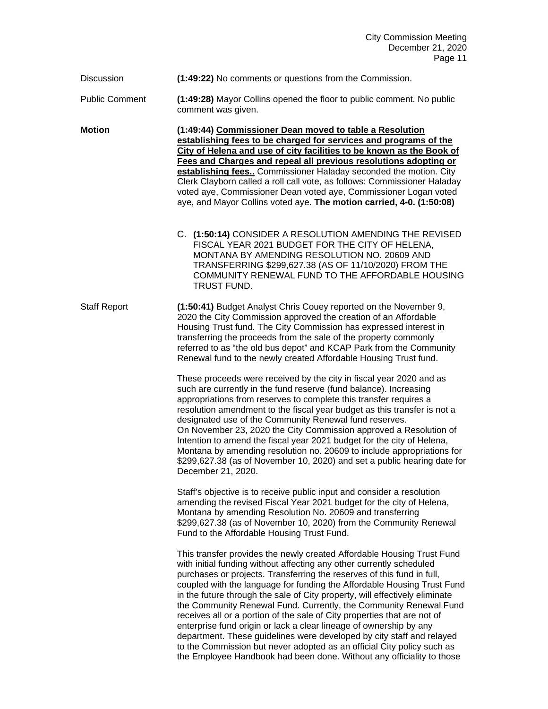Discussion **(1:49:22)** No comments or questions from the Commission.

Public Comment **(1:49:28)** Mayor Collins opened the floor to public comment. No public comment was given.

**Motion (1:49:44) Commissioner Dean moved to table a Resolution establishing fees to be charged for services and programs of the City of Helena and use of city facilities to be known as the Book of Fees and Charges and repeal all previous resolutions adopting or establishing fees..** Commissioner Haladay seconded the motion. City Clerk Clayborn called a roll call vote, as follows: Commissioner Haladay voted aye, Commissioner Dean voted aye, Commissioner Logan voted aye, and Mayor Collins voted aye. **The motion carried, 4-0. (1:50:08)**

> C. **(1:50:14)** CONSIDER A RESOLUTION AMENDING THE REVISED FISCAL YEAR 2021 BUDGET FOR THE CITY OF HELENA, MONTANA BY AMENDING RESOLUTION NO. 20609 AND TRANSFERRING \$299,627.38 (AS OF 11/10/2020) FROM THE COMMUNITY RENEWAL FUND TO THE AFFORDABLE HOUSING TRUST FUND.

Staff Report **(1:50:41)** Budget Analyst Chris Couey reported on the November 9, 2020 the City Commission approved the creation of an Affordable Housing Trust fund. The City Commission has expressed interest in transferring the proceeds from the sale of the property commonly referred to as "the old bus depot" and KCAP Park from the Community Renewal fund to the newly created Affordable Housing Trust fund.

> These proceeds were received by the city in fiscal year 2020 and as such are currently in the fund reserve (fund balance). Increasing appropriations from reserves to complete this transfer requires a resolution amendment to the fiscal year budget as this transfer is not a designated use of the Community Renewal fund reserves. On November 23, 2020 the City Commission approved a Resolution of Intention to amend the fiscal year 2021 budget for the city of Helena, Montana by amending resolution no. 20609 to include appropriations for \$299,627.38 (as of November 10, 2020) and set a public hearing date for December 21, 2020.

Staff's objective is to receive public input and consider a resolution amending the revised Fiscal Year 2021 budget for the city of Helena, Montana by amending Resolution No. 20609 and transferring \$299,627.38 (as of November 10, 2020) from the Community Renewal Fund to the Affordable Housing Trust Fund.

This transfer provides the newly created Affordable Housing Trust Fund with initial funding without affecting any other currently scheduled purchases or projects. Transferring the reserves of this fund in full, coupled with the language for funding the Affordable Housing Trust Fund in the future through the sale of City property, will effectively eliminate the Community Renewal Fund. Currently, the Community Renewal Fund receives all or a portion of the sale of City properties that are not of enterprise fund origin or lack a clear lineage of ownership by any department. These guidelines were developed by city staff and relayed to the Commission but never adopted as an official City policy such as the Employee Handbook had been done. Without any officiality to those